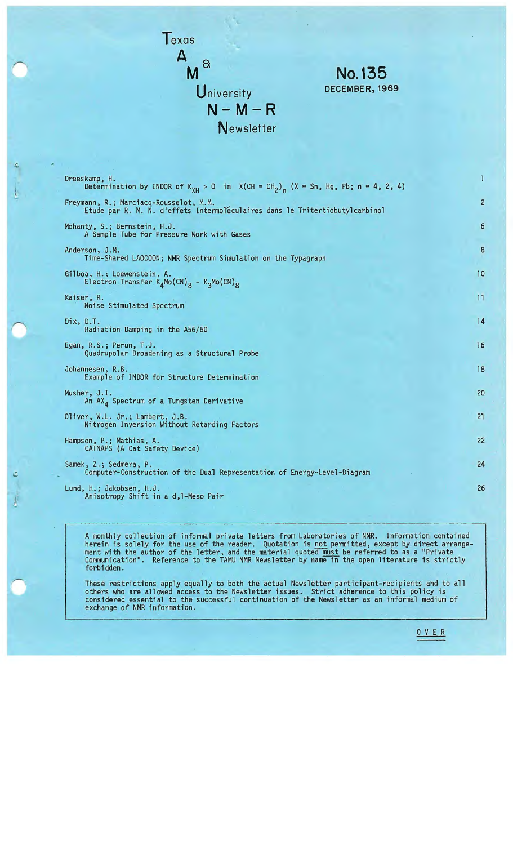

*C.* 

 $\bullet$ 

| .

# **No.135 DECEMBER, 1969**

Dreeskamp, H. Determination by INDOR of  $K_{XH} > 0$  in  $X(CH = CH_2)_n$  (X = Sn, Hg, Pb; n = 4, 2, 4) Freymann, R.; Marciacq-Rousselot, M.M. Etude par R. M. N. d'effets Intermoléculaires dans le Tritertiobutylcarbinol Mohanty, S.; Bernstein, H.J. A Sample Tube for Pressure Work with Gases Anderson, J.M. Time-Shared LAOCOON; NMR Spectrum Simulation on the Typagraph Gilboa, H.; Loewenstein, A. Electron Transfer  $\kappa_4$ Mo(CN) $_8$  –  $\kappa_3$ Mo(CN) $_8$ Kaiser, R. Noise Stimulated Spectrum Dix, D.T. Radiation Damping in the A56/60 Egan, R.S.; Perun, T.J. Quadrupolar Broadening as a Structural Probe Johannesen, R.B. Example of INDOR for Structure Determination Musher, J. I. An  $AX_{\Lambda}$  Spectrum of a Tungsten Derivative Oliver, W.L. Jr.; Lambert, J.B. Nitrogen Inversion Without Retarding Factors Hampson, P.; Mathias, A. CATNAPS (A Cat Safety Device) Samek, Z.; Sedmera, P. Computer-Construction of the Dual Representation of Energy-Level-Diagram Lund, H.; Jakobsen, H.J. Anisotropy Shift in a d,1-Meso Pair 10 11 14 16 18 20 21 22 24 26

A monthly collection of informal private letters from Laboratories of NMR. Information contained herein is solely for the use of the reader. Quotation is not permitted, except by direct arrangement with the author of the letter, and the material quoted must be referred to as a "Private Communication". Reference to the TAMU NMR Newsletter by name in the open literature is strictly forbidden.

These restrictions apply equally to both the actual Newsletter participant-recipients and to all others who are allowed access to the Newsletter issues. Strict adherence to this policy is considered essential to the successful continuation of the Newsletter as an informal medium of exchange of NMR information.

0 V E R

2

ı

6

8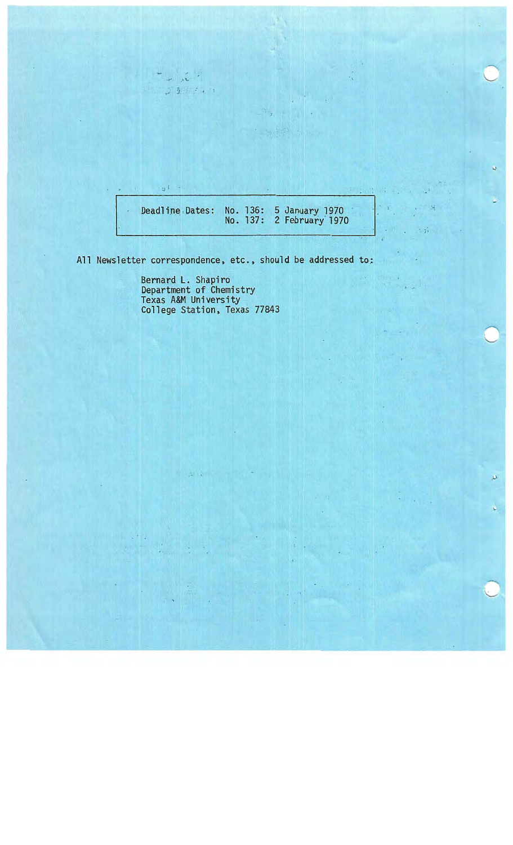Deadline Dates: No. 136: 5 January 1970 No. 137: 2 February· 1970

 $\sim$   $\mu$ 

 $\mathcal{A}^{(1)} = \mathcal{B}(\mathcal{G})$ 

المالية.

All Newsletter correspondence, etc., should be addressed to:

Bernard L. Shapiro Department of Chemistry<br>Texas A&M University College Station, Texas 77843

 $\mathcal{L}^{(1)}$  $73.777$ 

 $-35 - 10$ 

**Section**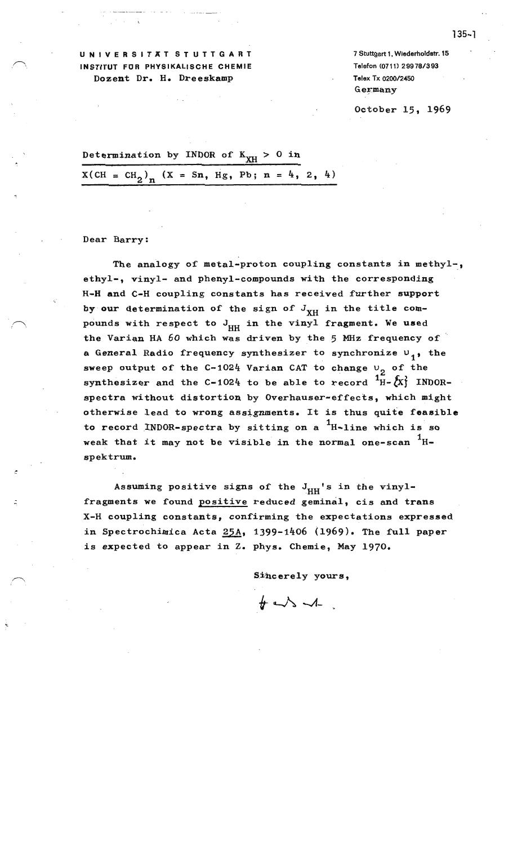UNIVERSITAT STUTTGART **INSTITUT FDR PHYSIKALISCHE CHEMIE**  Dozent Dr. H. Dreeskamp

7 Stuttgart 1, Wlederholdstr. 15 Telefon (0711) 29978/393 Telex Tx 0200/2450 Gefmany

October 15, 1969

| Determination by INDOR of $K_{\text{XH}} > 0$ in |  |  |  |  |  |  |
|--------------------------------------------------|--|--|--|--|--|--|
| $X(CH = CH_2)$ $(X = Sn, Hg, Pb; n = 4, 2, 4)$   |  |  |  |  |  |  |

Dear Barry:

The analogy of metal-proton coupling constants in methyl-, ethyl-, vinyl- and phenyl-compounds with the corresponding H-H and C-H coupling constants has received further support by our determination of the sign of  $J_{\gamma H}$  in the title compounds with respect to J<sub>HH</sub> in the vinyl fragment. We used the Varian HA 60 which was driven by the 5 MHz frequency of a General Radio frequency synthesizer to synchronize  $v_{1}$ , the sweep output of the C-1024 Varian CAT to change  $v<sub>2</sub>$  of the synthesizer and the C-1024 to be able to record  $1_H^2 - \{x\}$  INDORspectra without distortion by Overhauser-effects, which might otherwise lead to wrong assignments. It is thus quite feasible to record INDOR-spectra by sitting on a  $1_H$ -line which is so weak that it may not be visible in the normal one-scan <sup>1</sup>Hspektrum.

Assuming positive signs of the  $J_{HH}$ 's in the vinylfragments we found positive reduced geminal, cis and trans X-H coupling constants, confirming the expectations. expressed in Spectrochimica Acta 25A, 1399-1406 (1969). The full paper is expected to appear in Z. phys. Chemie, May 1970.

Sincerely yours,

 $t \rightarrow t$ .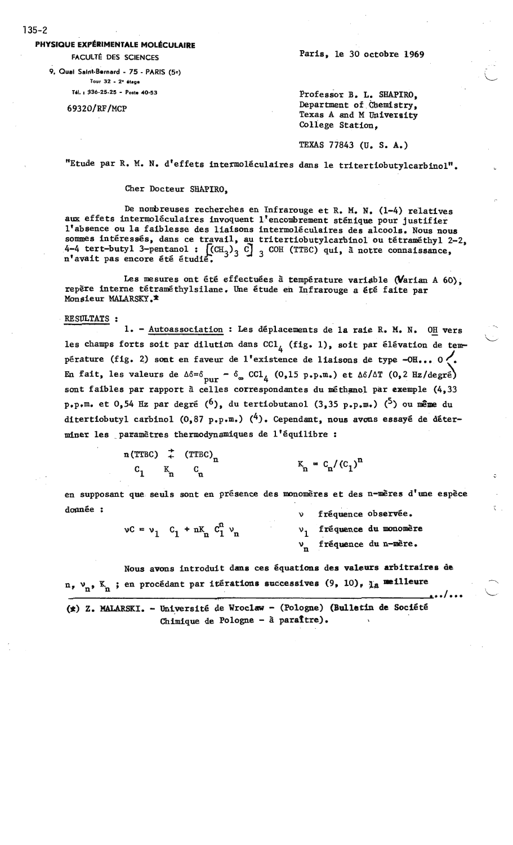135-2

**PHYSIQUE EXPÉRIMENTALE MOLÉCULAIRE** 

**9, Ouel** Salnt-B~rnard • 75 - **PARIS** (5e) Tour 32 - 2<sup>•</sup> étage

Tél. : 336-25-25 - Poste 40-53

69320/RF/MCP

FACULTÉ DES SCIENCES PARIS, le 30 octobre 1969

i  $\sim$ 

 $\sim$  $\downarrow$ 

÷.

Professor B. L. SHAPIRO, Department of Chemistry, Texas A and M University Coliege Station,

## TEXAS 77843 (U.S. A.)

"Etude par R. M. N. d'effets intermoleculaires dans le tritertiobutylcarbinol".

Cher Docteur SHAPIRO,

De nombreuses recherches en Infrarouge et R. M. N. (1-4) relatives aux effets intermoléculaires invoquent l'encombrement sténique pour justifier l'absence ou la faiblesse des liaisons intermoleculaires des alcools. Nous nous sommes intéressés, dans ce travail, au tritertiobutylcarbinol ou tétraméthyl 2-2, 4-4 tert-butyl 3-pentanol:  $[(\text{CH}_3)_3 \text{ C}]$  3 COH (TTBC) qui, à notre connaissance, n'avait pas encore été étudie.

Les mesures ont été effectuées à température variable (Varian A 60), repère interne tétraméthylsilane. Une étude en Infrarouge a été faite par Monsieur MALARSKY.\*

#### · RESULTATS :

1. - Autoassociation: Les déplacements de la raie R. M. N. OH vers les champs forts soit par dilution dans  $\texttt{CC1}_{\textit{4}}$  (fig. 1), soit par élévation de température (fig. 2) sont en faveur de l'existence de liaisons de type  $-0H$ ...  $0$ . En fait, les valeurs de  $\Delta \delta = \delta_{\text{pur}} - \delta_{\infty} \text{ CC1}_4$  (0,15 p.p.m.) et  $\Delta \delta / \Delta T$  (0,2 Hz/degré) sont faibles par rapport à celles correspondantes du méthanol par exemple (4,33 p.p.m. et 0,54 Hz par degré  $(6)$ , du tertiobutanol  $(3,35 \text{ p.p.m.})$   $(5)$  ou même du ditertiobutyl carbinol  $(0,87 \text{ p.p.m.})$   $(4)$ . Cependant, nous avons essayé de déterminer les paramètres thermodynamiques de l'équilibre :

> $\ddotplus$ n(TTBC)  $(TTBC)_{\bf n}$  $K_n = C_n/(C_1)^n$  $\mathbf{K}_{\mathbf{n}}$  $\rm c_{\rm n}$  $\rm{c}_{1}$

en supposant que seuls sont en présence des monomères et des n-mères d'une espèce donnée :<br>
<sup>1</sup> donnée :<br>
<sup>1</sup> donnée :<br>
<sup>1</sup> d<sup>n</sup> de la <sup>v</sup> d<sup>n</sup> de la <sup>v</sup> de la version de la procession

$$
\nu C = \nu_1 C_1 + nK_n C_1^n \nu_n
$$
\n
$$
\nu_1
$$
 fréquence du monomère  
\n
$$
\nu_n
$$
 fréquence du n-mère.

Nous avons introduit dans ces equations **des valeurs arbitraires de**  n,  $v_n$ ,  $K_n$ ; en procédant par itérations successives (9, 10),  $l_a$  meilleure

(\*) Z. MALARSKI. - Université de Wroclaw - (Pologne) (Bulletin de Société Chimique de Pologne - a parattre).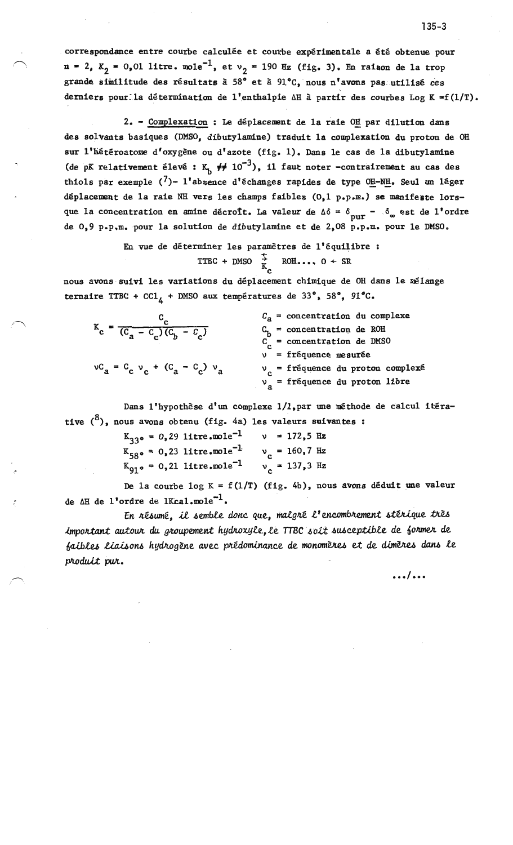correspondance entre courbe calculée et courbe expérimentale a été obtenue pour  $n = 2$ ,  $K_2 = 0$ , 01 litre. mole<sup>-1</sup>, et  $v_2 = 190$  Hz (fig. 3). En raison de la trop grande similitude des résultats à 58° et à 91°C, nous n'avons pas utilisé ces derniers pourlla détermination de l'enthalpie AH à partir des courbes Log K =f(1/T).

2. - Complexation : Le déplacement de la raie OH par dilution dans des solvants basiques (DMSO, dibutylamine) traduit la complexation du proton de OH sur l'hétéroatome d'oxygène ou d'azote (fig. 1). Dans le cas de la dibutylamine (de pK relativement élevé:  $K_b$   $\neq 10^{-3}$ ), il faut noter -contrairement au cas des thiols par exemple (<sup>7</sup>)- l'absence d'échanges rapides de type OH-NH. Seul un léger déplacement de la raie NH vers les champs faibles (0,1 p.p.m.) se manifeste lorsque la concentration en amine décroit. La valeur de  $\Delta \delta = \delta_{\text{unr}} - \delta_{\infty}$  est de l'ordre de 0,9 p.p.m. -pour la solution de dibutylamine et de 2,08 p.p.m. pour le DMSO.

> En vue de déterminer les paramètres de l'équilibre : TTBC + DMSO  $\overrightarrow{k}_{\text{c}}$  ROH.... 0 + SR

nous avons suivi les variations du déplacement chimique de OH dans le mélange ternaire TTBC +  $CCI<sub>4</sub>$  + DMSO aux températures de 33°, 58°, 91°C.

|                                                | $C_a$ = concentration du complexe    |
|------------------------------------------------|--------------------------------------|
| $K_c = \frac{C_a - C_c(C_b - C_c)}{C_a - C_c}$ | $Ck$ = concentration de ROH          |
|                                                | $C_{a}$ = concentration de DMSO      |
|                                                | $v = fr\acute{e}quence$ mesurée      |
| $vC_a = C_c v_c + (C_a - C_c) v_a$             | $v_c$ = fréquence du proton complexé |
|                                                | $va$ = fréquence du proton libre     |

Dans l'hypothèse d'un complexe 1/1, par une méthode de calcul itérative  $\binom{8}{2}$ , nous avons obtenu (fig. 4a) les valeurs suivantes :

|  | $K_{33}$ . = 0,29 litre.mole <sup>-1</sup> |  | $v = 172,5$ Hz    |  |
|--|--------------------------------------------|--|-------------------|--|
|  | $K_{58}$ . = 0,23 litre.mole <sup>-1</sup> |  | $v_c = 160, 7$ Hz |  |
|  | $K_{91}$ . = 0,21 litre.mole <sup>-1</sup> |  | $v_c = 137,3$ Hz  |  |

*(\* 

De la courbe log K = f(l/T) (fig. 4b), nous **avons** deduit une valeur de  $\Delta H$  de l'ordre de lKcal.mole<sup>-1</sup>.

En résumé, *il semble donc que, malgré l'encombrement stérique très important autour du groupement hydroxyle, le TTBC soit susceptible de former de* faibles *liaisons hydrog*ène avec prédominance de monomères et de dimères dans le produit pur.

. .. , ...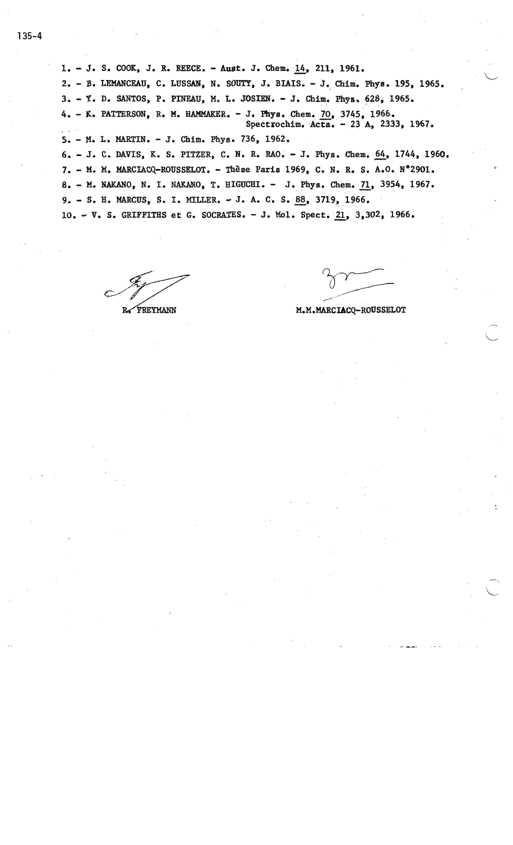1. - J. S. COOK, J. R. REECE. - Aust. J. Chem. 14, 211, 1961. 2. - B. LEMANCEAU, C. LUSSAN, N. SOUTY, J. BIAIS. - J. Chim. Phys. 195, 1965.  $3. - Y.$  D. SANTOS, P. PINEAU, M. L. JOSIEN. - J. Chim. Phys.  $628$ , 1965. 4. - K. PATTERSON, R. M. HAMMAKER. - J. Phys. Chem. 70, 3745, 1966. Spectrochim. Acta. - 23 A, 2333, 1967. 5. - M. L. MARTIN. - J. Chim. Phys. 736, 1962. 6. - J. C. DAVIS, K. S. PITZER, C. N. R. RAO. - J. Phys. Chem. 64, 1744, 1960. 7. - M. M. MARCIACQ-ROUSSELOT. - Thèse Paris 1969, C. N. R. S. A.O. N°2901. 8. - M. NAKANO, N. I. NAKANO, T. HIGUCHI. - J. Phys. Chem. 71, 3954, 1967. 9. - S. H. MARCUS, S. I. MILLER. - J. A. C. S. 88, 3719, 1966.  $10. - V.$  S. GRIFFITHS et G. SOCRATES. - J. Mol. Spect.  $21, 3,302, 1966$ .

 $\sqrt{2}$ R. FREYMANN M.M.MARCIACQ-ROUSSELOT

 $\overline{\phantom{a}}$ I  $\smile$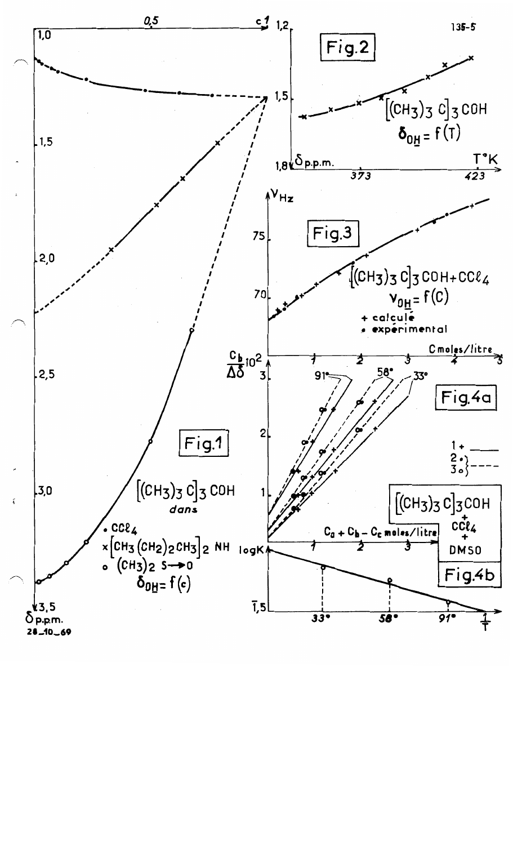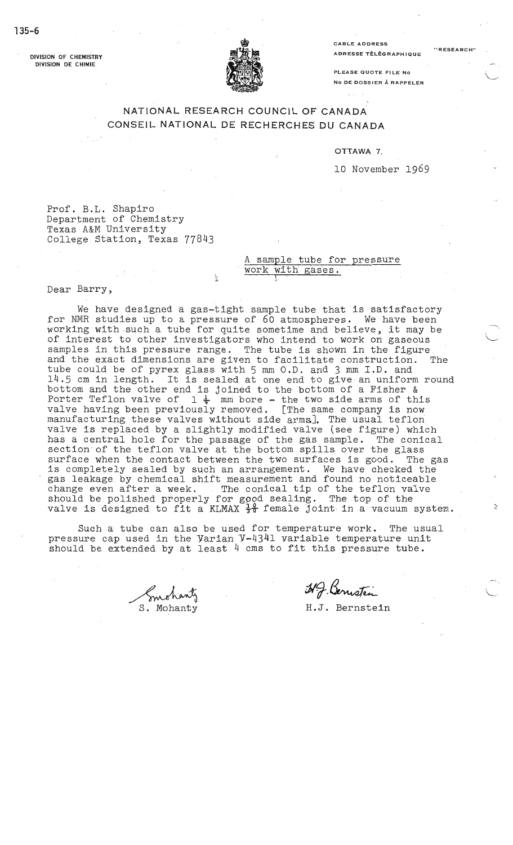DIVISION OF CHEMISTRY DIVISION DE CHIMIE



CABLE ADDRESS ADRESSE TELEGRAPH IQUE

**'"RESEARCH ..** 

 $\setminus$ 

PLEASE QUOTE FILE No No DE DOSSIER À RAPPELER

# **NATIONAL RESEARCH COUNCIL OF CANADA CONSEIL NATIONAL DE RECHERCHES. DU CANADA**

**OTTAWA 7.** 

10 November 1969

Prof. B.L. Shapiro Department of Chemistry Texas A&M University College Station, Texas 77843

## A sample tube for pressure work with gases.

*?i ·* 

Dear Barry,

We have designed a gas-tight sample tube that is satisfactory for NMR studies up to a pressure of 60 atmospheres. We have been working with such a tube for quite sometime and believe, it may be of interest to other investigators who intend to work on gaseous samples in this pressure range. The tube is shown in the figure<br>and the exact dimensions are given to facilitate construction. The and the exact dimensions are given to facilitate construction. tube could be of pyrex glass with 5 mm O.D. and 3 mm I.D. and 14.5 cm in length. It is sealed at one end to give an uniform round bottom and the other end is joined to the bottom of a Fisher & Porter Teflon valve of  $1\frac{1}{4}$  mm bore - the two side arms of this valve having been previously removed. [The same company is now manufacturing these valves without side arms]. The usual teflon valve is replaced by a slightly modified valve (see figure) which has a central hole for the passage of the gas sample. The conical section of the teflon valve at the bottom spills over the glass surface when the contact between the two surfaces is good. The gas is completely sealed by such an arrangement. We have checked the gas leakage by chemical shift measurement and found no noticeable change even after a week. The conical tip of the teflon valve should be polished properly for gpod sealing. The top of the valve is designed to fit a KLMAX  $\frac{1}{3}$  female joint in a vacuum system.

Such a tube can also be used for temperature work. The usual pressure cap used in the Yarian Y-4341 variable temperature unit should be extended by at least  $4$  cms to fit this pressure tube.

Smohanty H.J. Bernstein<br>S. Mohanty H.J. Bernstein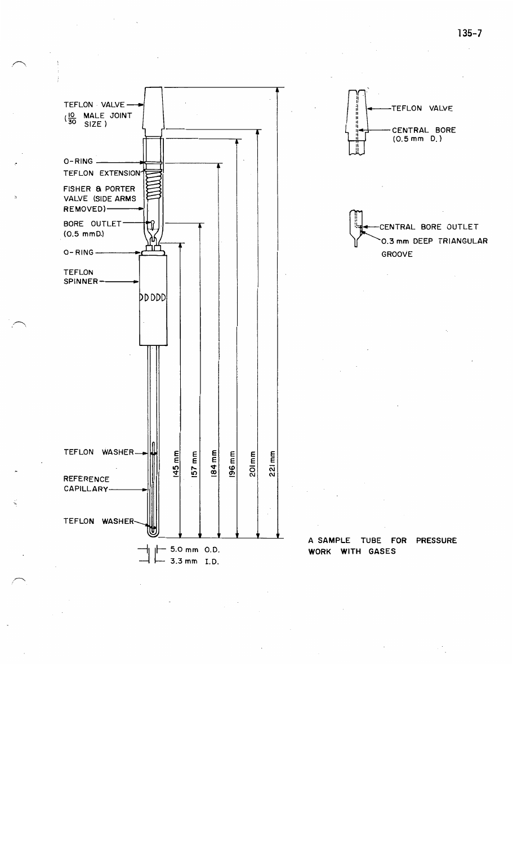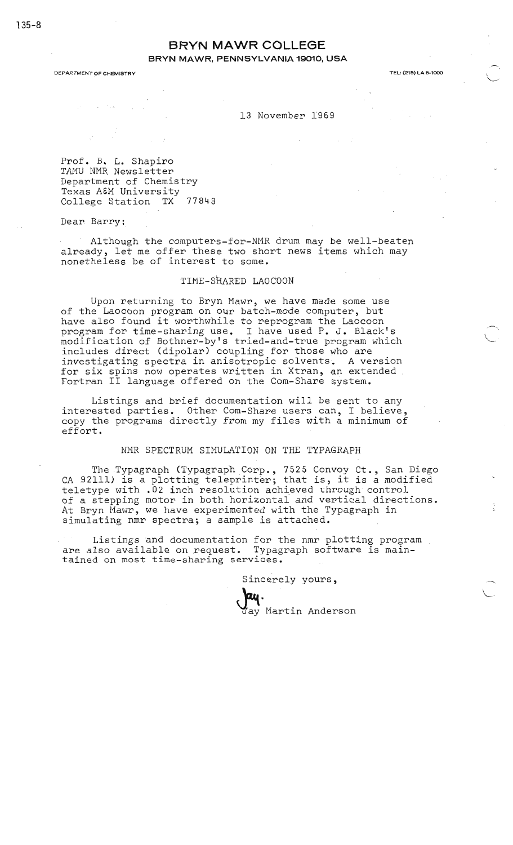**BRYN MAWR COLLEGE** 

**BRYN MAWR, PENNSYLVANIA 19010, USA** 

DEPARTMENT OF CHEMISTRY

TEL: (215) LA 5-1000

13 November 1969

Prof. B. L. Shapiro TAMU NMR Newsletter Department of Chemistry Texas A&M University College Station TX 77843

Dear Barry:

Although the computers-for-NMR drum may be well-beaten already, let me offer these two short news items which may nonetheless be of interest to some.

#### TIME-SHARED LAOCOON

Upon returning to Bryn Mawr, we have made some use of the Laocoon program on our batch-mode computer, but have also found it worthwhile to reprogram the Laocoon program for time-sharing use. I have used P. J. Black's modification of Bothner-by's tried-and-true program which includes direct (dipolar) coupling for those who are investigating spectra in anisotropic solvents. A version for six spins now operates written in Xtran, an extended Fortran II language offered on the Com-Share system.

Listings and brief documentation will be sent to any interested parties. Other Com-Share users can, I believe, copy the programs directly from my files with a minimum of effort.

NMR SPECTRUM SIMULATION ON THE TYPAGRAPH

The Typagraph (Typagraph Corp., 7525 Convoy Ct., San Diego CA 92111) is a plotting teleprinter; that is, it is a modified teletype with .02 inch resolution achieved through control of a stepping motor in both horizontal and vertical directions. At Bryn Mawr, we have experimented with the Typagraph in simulating nmr spectra; a sample is attached.

Listings and documentation for the nmr plotting program are also available on request. Typagraph software is maintained on most time-sharing services.

Sincerely yours,

Jay Martin Anderson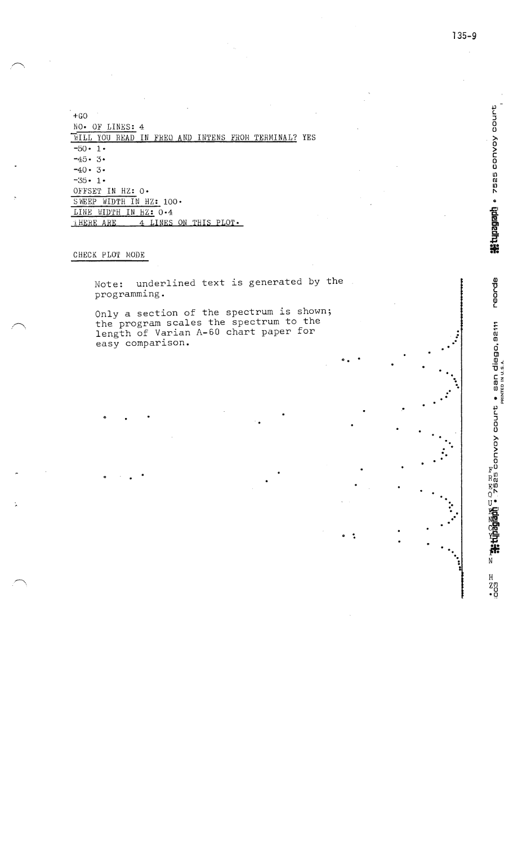$+GO$ NO. OF LINES: 4 WILL YOU READ IN FREQ AND INTENS FROM TERMINAL? YES  $-50 \cdot 1 \cdot$  $-45 - 3$  $-40 \cdot 3 \cdot$  $-35 - 1$ OFFSET IN HZ: 0. SWEEP WIDTH IN HZ: 100. LINE WIDTH IN HZ: 0.4 **I HERE ARE** 4 LINES ON THIS PLOT.

CHECK PLOT MODE

underlined text is generated by the Note: programming.

Only a section of the spectrum is shown; the program scales the spectrum to the length of Varian A-60 chart paper for easy comparison.

reorde **ski**c or die convoy count • san diego, sam<br>**jāpi** • 7525 convoy count • san diego, sam 1994第12 **H**<br>Zg<br>• <u>0</u>

**Water on the sear of the propert**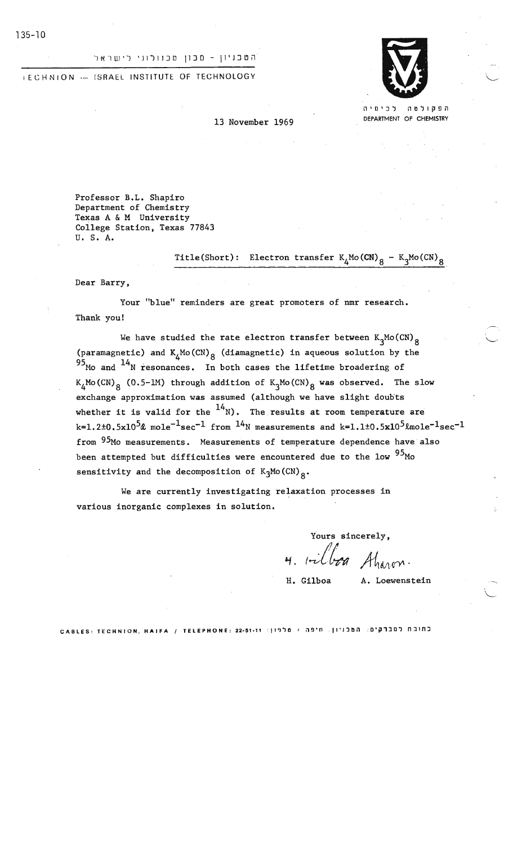המכניון - מכון טכנולוני לישראל

LECHNION -- ISRAEL INSTITUTE OF TECHNOLOGY



לכיםיה הפקולמה DEPARTMENT OF CHEMISTRY

13 November 1969

Professor B.L. Shapiro Department of Chemistry Texas A & M University College Station, Texas 77843 U.S.A.

Title(Short): Electron transfer  $K_4$ Mo(CN)<sub>8</sub> -  $K_3$ Mo(CN)<sub>8</sub>

Dear Barry,

Your "blue" reminders are great promoters of nmr research. Thank you!

We have studied the rate electron transfer between  $K_qMo(CN)_R$ (paramagnetic) and  $K_{\Delta}$ Mo(CN)<sub>8</sub> (diamagnetic) in aqueous solution by the 95<sub>Mo</sub> and  $14_N$  resonances. In both cases the lifetime broadering of  $K_A$ Mo(CN)<sub>8</sub> (0.5-1M) through addition of  $K_A$ Mo(CN)<sub>8</sub> was observed. The slow exchange approximation was assumed (although we have slight doubts whether it is valid for the  $^{14}$ N). The results at room temperature are k=1.2±0.5x10<sup>5</sup>& mole<sup>-1</sup>sec<sup>-1</sup> from <sup>14</sup>N measurements and k=1.1±0.5x10<sup>5</sup> kmole<sup>-1</sup>sec<sup>-1</sup> from <sup>95</sup>Mo measurements. Measurements of temperature dependence have also been attempted but difficulties were encountered due to the low <sup>95</sup>Mo sensitivity and the decomposition of  $K_3MO(CN)_R$ .

We are currently investigating relaxation processes in various inorganic complexes in solution.

Yours sincerely, 4. villed Aheron.

H. Gilboa

A. Loewenstein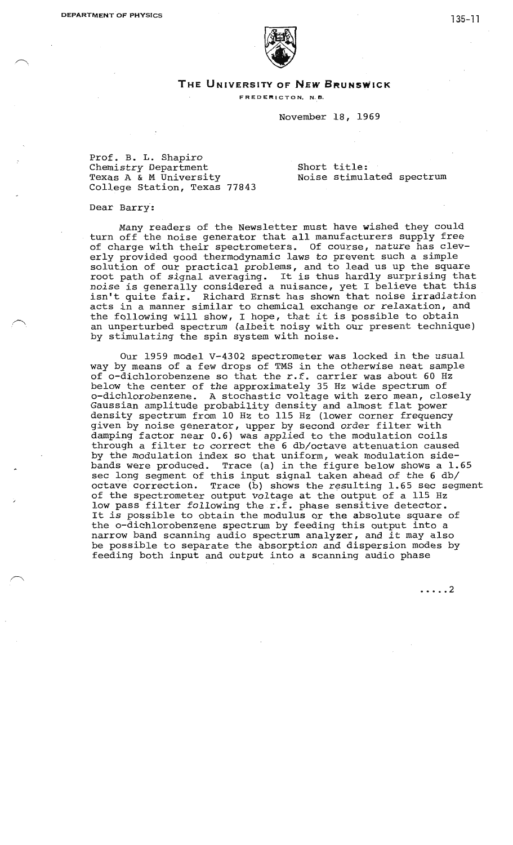

### **THE UNIVERSITY OF NEW BRUNSWICK**

F R E D E **l't** I C T O **N. N . l!I.** 

November 18, 1969

Prof. B. L. Shapiro Chemistry Department Texas A & M University College Station, Texas 77843

Short title:. Noise stimulated spectrum

Dear Barry:

Many readers of the Newsletter must have **wished** they could turn off the noise generator that all manufacturers supply free of charge with their spectrometers. Of course, nature has cleverly provided good thermodynamic laws to prevent such a simple solution of our practical problems, and to lead us up the square root path of signal averaging. It is thus hardly surprising that noise is generally considered a nuisance, yet I believe that this isn't quite fair. Richard Ernst has shown that noise irradiation acts in a manner similar to chemical exchange or relaxation, and the following will show, I hope, that it is possible to obtain an unperturbed spectrum (albeit noisy with our present technique) by stimulating the spin system with noise.

Our 1959 model V-4302 spectrometer was locked in the usual way by means of a few drops of TMS in the otherwise neat sample of o-dichlorobenzene so that the r.f. carrier was about 60 Hz below the center of the approximately 35 Hz wide spectrum of o-dichlorobenzene. A stochastic voltage with zero mean, closely Gaussian amplitude probability density and almost flat power density spectrum from 10 Hz to 115 Hz (lower corner frequency given by noise generator, upper by second order filter with damping factor near 0.6) was applied to the modulation coils through a filter to correct the 6 db/octave attenuation caused by the modulation index so that uniform, weak modulation sidebands were produced. Trace (a) in the figure below shows a 1.65 sec long segment of this input signal taken ahead of the 6 db/ octave correction. Trace (b) shows the resulting 1.65 sec segment of the spectrometer output voltage at the output of a 115 Hz low pass filter following the r.f. phase sensitive detector. It is possible to obtain the modulus or the absolute square of the o-dichlorobenzene spectrum by feeding this output into a narrow band scanning audio spectrum analyzer, and it may also be possible to separate the absorption and dispersion modes by feeding both input and output into a scanning audio phase

.•••• **2**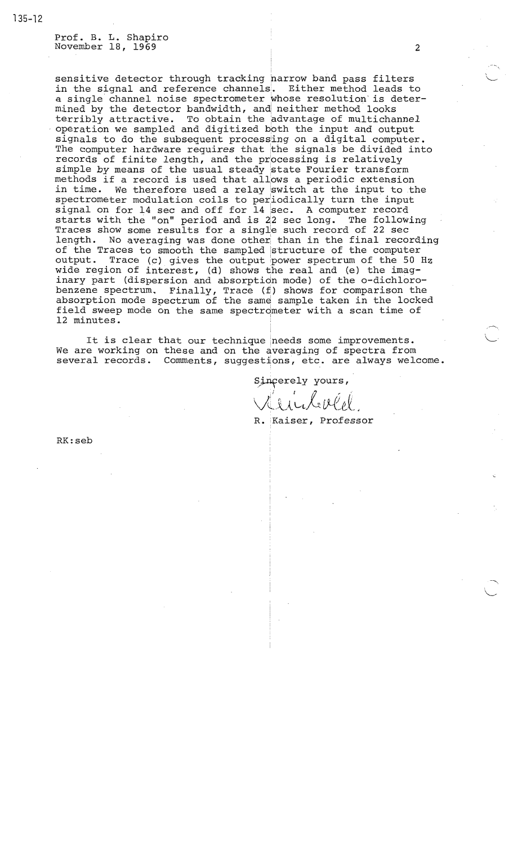Prof. B. L. Shapiro November 18, 1969

sensitive detector through tracking narrow band pass filters in the signal and reference channels. Either method leads to a single channel noise spectrometer w hose resolution' is deter-1 terribly attractive. To obtain the advantage of multichannel mined by the detector bandwidth, and neither method looks operation we sampled and digitized both the input and output signals to do the subsequent processling on a digital computer. The computer hardware requires that the signals be divided into records of finite length, and the processing is relatively simple by means of the usual steady state Fourier transform simple by means of the usual steady state routief transform in time. We therefore used a relay switch at the input to the spectrometer modulation coils to perliodically turn the input signal on for 14 sec and off for 14 sec. A computer record starts with the "on" period and is 22 sec long. The following Traces show some results for a single such record of 22 sec length. No averaging was done other than in the final recording of the Traces to smooth the sampled structure of the computer output. Trace (c) gives the output power spectrum of the 50 Hz wide region of interest, (d) shows the real and (e) the imaginary part (dispersion and absorption mode) of the o-dichlorobenzene spectrum. Finally, Trace (£) shows for comparison the absorption mode spectrum of the same sample taken in the locked field sweep mode on the same spectrometer with a scan time of 12 minutes.

It is clear that our technique needs some improvements. We are working on these and on the averaging of spectra from several records. Comments, suggestions, etc. are always welcome.

 $\frac{1}{2}$ Sincerely yours, V{.tt L-i~ *L~tk\_,* 

R. Kaiser, Professor

RK: seb

2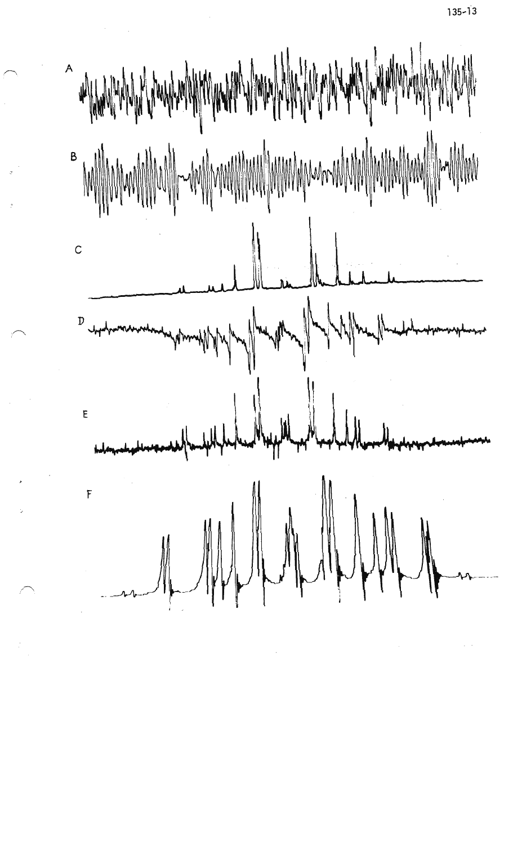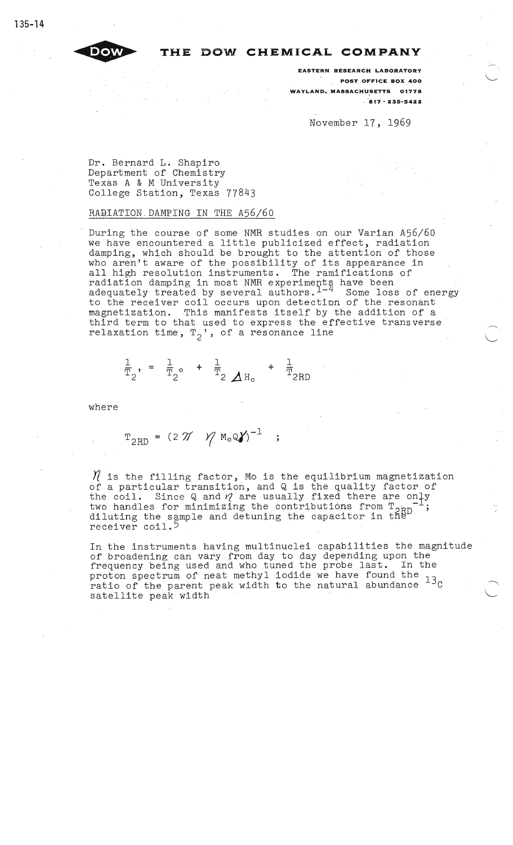

## **THE DOW CHEMICAL COMPANY**

**EASTERN RESEARCH LABORATORY POST OFFICE BOX 400** WAYLAND, MASSACHUSETTS 01778 . · **817 • 235-S422** 

November 17, 1969

Dr. Bernard L. Shapiro Department of Chemistry Texas A & M University College Station, Texas 77843

#### RADIATION . DAMPING IN THE A56/60

During the course of some NMR studies on our Varian A56/60 we have encountered a little publicized effect, radiation damping, which should be brought to the attention of those who aren't aware of the possibility of its appearance in all high resolution instruments. The ramifications of arr nrgn reservation rhoof amonios. The ramifications of  $r$  adequately treated by several authors.  $1-4$  Some loss of energy to the receiver coil occurs upon detection of the resonant magnetization. This manifests itself by the addition of a third term to that used to express the effective transverse  $r$  and  $r$  and  $r$  and  $r$  are  $r$  is the set of  $r$ . The relaxation time,  $T_2$ , of a resonance line

$$
\frac{1}{T_2}, = \frac{1}{T_2}, + \frac{1}{T_2} + \frac{1}{T_{2RD}}
$$

where

$$
T_{2RD} = (2 \mathcal{N} \quad \gamma \quad M_o Q \mathbf{S}^{-1} \quad ;
$$

 $N$  is the filling factor, Mo is the equilibrium magnetization of a particular transition, and Q is the quality factor of the coil. Since Q and  $\gamma$  are usually fixed there are only two handles for minimizing the contributions from  $T_{--}$ . two handles for minimizing the contributions from  $T_{\text{PRD}}^{-1}$ ; owe handles for minimizing the contributions from 19RI<br>diluting the sample and detuning the capacitor in the receiver coil.<sup>5</sup>

In the instruments having multinuclei capabilities the magnitude of broadening can vary from day to day depending upon the<br>frequency being used and who tuned the probe last. In the frequency being used and who tuned the probe last. In t<br>proton spectrum of neat methyl iodide we have found the ratio of the parent peak width to the natural abundance  $13<sub>c</sub>$ satellite peak width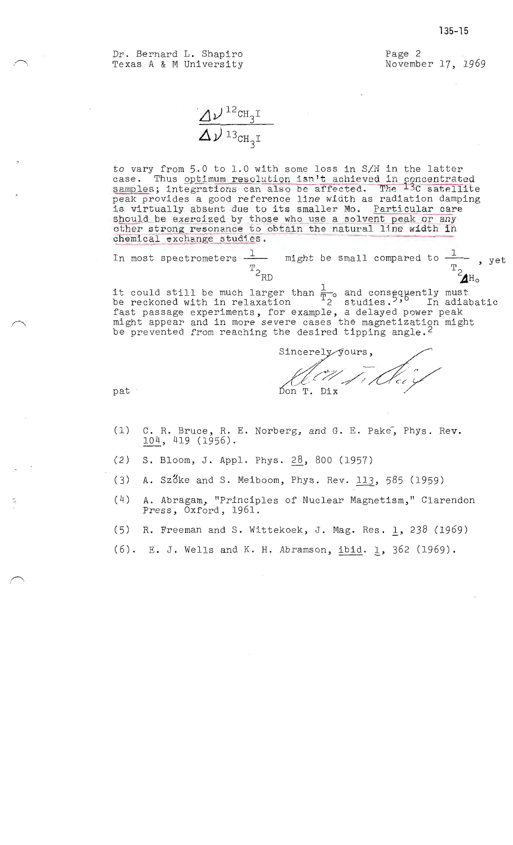Dr. Bernard L. Shapiro Texas A & M University Page 2 November 17, 1969

 $\Lambda$  $\nu$ <sup>12</sup>CH<sub>3</sub>I  $\Delta \nu$ <sup>13</sup>ch<sub>3</sub>I

to vary from 5,0 to 1.0 with some loss in S/N in the latter case. Thus Qptimum resolution isn't achieved in concentrated samples; integrations can also be affected. The  $13C$  satellite peak provides a good reference line width as radiation damping is virtually absent due to its smaller Mo. Particular care should be exercized by those who use a solvent peak or any other strong resonance to obtain the natural line width in other strong resonance to obtain the natural line width in chemical exchange studies.

In most spectrometers  $\frac{1}{1}$  might be small compared to  $\frac{1}{1}$ , yet  $T$ <sup>2</sup>RD  $T$ <sup>2</sup> $\mu$ <sub>o</sub>

it could still be much larger than  $\frac{1}{T}$  and consequently must<br>be reckoned with in relaxation  $\frac{1}{2}$  studies.<sup>9,6</sup> In adial be reckoned with in relaxation  $\frac{1}{2}$  studies.<sup>556</sup> In adiabatic fast passage experiments, for example, a delayed power peak might appear and in more severe cases the magnetization might be prevented from reaching the desired tipping angle.<sup>2</sup>

Sincerely  $\check{y}$ ours, Not Tidlig

pat ·

- (1) C. R. Bruce, R. E. Norberg, and G. E. Pake, Phys. Rev. 104, 419 (1956).
- $(2)$ S. Bloom, J. Appl. Phys. 28, 800 (1957)
- (3) A. Szőke and S. Meiboom, Phys. Rev. 113, 585 (1959)
- (4) A. Abragam, "Principles of Nuclear Magnetism," Clarendon Press, Oxford, 1961.
- (5) R. Freeman and S. Wittekoek, J. Mag. Res.!, 238 (1969)
- $(6)$ . E. J. Wells and K. H. Abramson, ibid. 1, 362 (1969).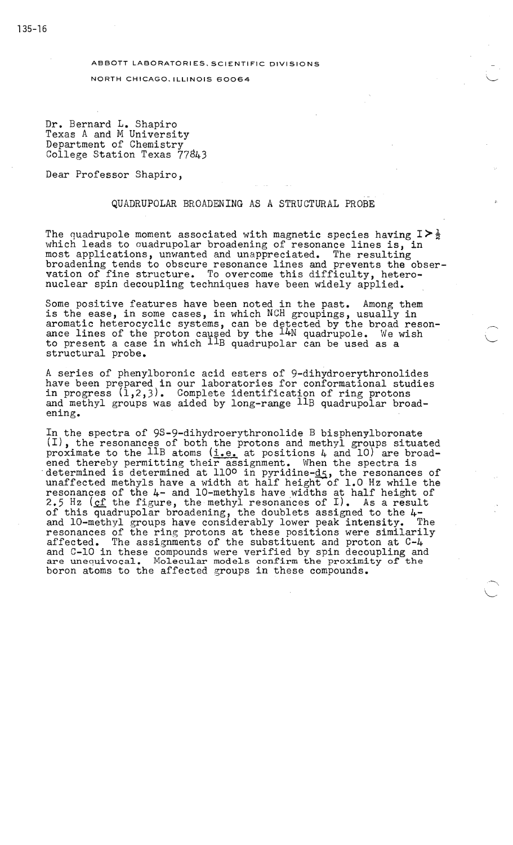#### **ABBOTT LABORATORIES, SCIENTIFIC DIVISIONS**

#### **NORTH CHICAGO, ILLINOIS 60064**

Dr. Bernard L. Shapiro Texas A and M University Department of Chemistry College Station Texas 77843

Dear Professor Shapiro,

#### QUADRUPOLAR BROADENING AS A STRUCTURAL PROBE

The quadrupole moment associated with magnetic species having  $I \geq \frac{1}{2}$ which leads to ouadrupolar broadening of resonance lines is, in most applications, unwanted and unappreciated. The resulting broadening tends to obscure resonance lines and prevents the observation of fine structure. To overcome this difficulty, heteronuclear spin decoupling techniques have been widely applied.

Some positive features have been noted in the past. Among them some positive readures have been hoted in the past. Among them aromatic heterocyclic systems, can be detected by the broad resonance lines of the proton caused by the <sup>14</sup>N quadrupole. We wish to present a case in which <sup>IIB</sup> quadrupolar can be used as a structural probe.

L

A series of phenylboronic acid esters of 9-dihydroerythronolides have been prepared in our laboratories for conformational studies in progress (1,2,3). Complete identification of ring protons and methyl groups was aided by long-range llB quadrupolar broadening.

In the spectra of 9S-9-dihydroerythronolide B bisphenylboronate (I), the resonances of both the protons and methyl groups situated proximate to the  $11B$  atoms (i.e. at positions 4 and 10) are broadened thereby permitting their assignment. When the spectra is determined is determined at 1100 in pyridine-d<sub>5</sub>, the resonances of unaffected methyls have a width at half height of 1.0 Hz while the resonances of the 4- and 10-methyls have widths at half height of 2.5 Hz ( $_{c}$ f the figure, the methyl resonances of I). As a result of this quadrupolar broadening, the doublets assigned to the 4 and 10-methyl groups have considerably lower peak intensity. The resonances of the ring protons at these positions were similarily affected. The assignments of the substituent and proton at C-4 and C-10 in these compounds were verified by spin decoupling and are unequivocal. Molecular models confirm the proximity of the boron atoms to the affected groups in these compounds.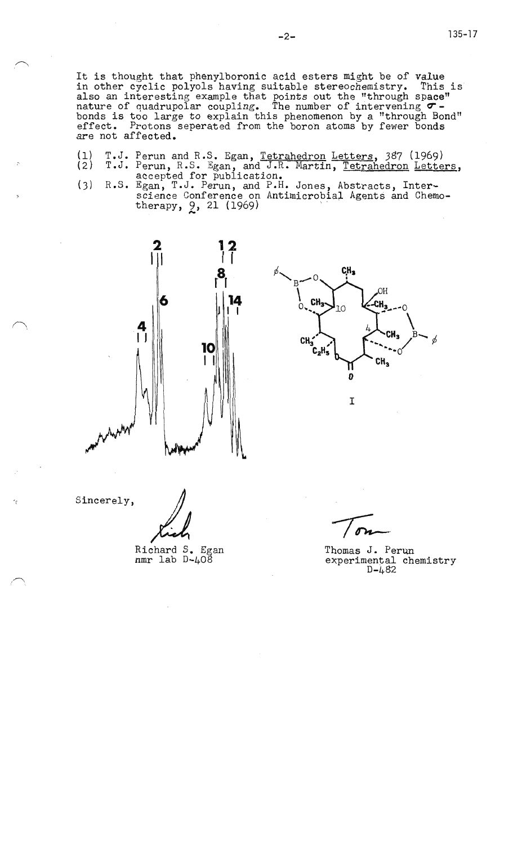It is thought that phenylboronic acid esters might be of value in other cyclic polyols having suitable stereochemistry. This is also an interesting example that points out the "through space" nature of quadrupolar coupling. The number of intervening  $\sigma$ honds is too large to explain this phenomenon by a "through Bond" effect. Protons seperated from the boron atoms by fewer bonds are not affected.

- $(1)$ T.J. Perun and R.S. Egan, Tetrahedron Letters, 387 (1969)
- (2) T.J. Perun, R.S. Egan, and J.R. Martin, Tetrahedron Letters, accepted for publication. R.S. Egan, T.J. Perun, and P.H. Jones, Abstracts, Inter-
- $(3)$ science Conference on Antimicrobial Agents and Chemotherapy,  $9, 21 (1969)$



Sincerely,

 $\bigcap$ 

Richard S. Egan nmr lab D-408

Thomas J. Perun experimental chemistry D-482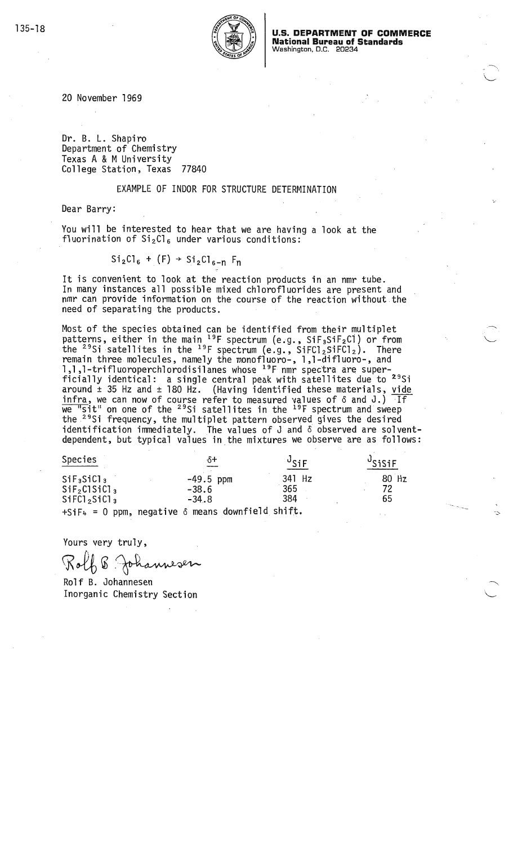

135-18 **I.e. 2012 U.S. DEPARTMENT OF COMMERCE National Bureau of Standards**  Washington, D.C. 20234

 $\backsim$ 

 $\sim$ L

20 November 1969

Dr. B. L. Shapiro Department of Chemistry Texas A & M University College Station, Texas 77840

### EXAMPLE OF INDOR FOR STRUCTURE DETERMINATION

Dear Barry:

You will be interested to hear that we are having a look at the fluorination of  $Si<sub>2</sub>Cl<sub>6</sub>$  under various conditions:

$$
\operatorname{Si}_2 \text{Cl}_6 + (\mathsf{F}) \rightarrow \operatorname{Si}_2 \text{Cl}_{6-n} \mathsf{F}_n
$$

It is convenient to look at the reaction products in an nmr tube. In many instances all possible mixed chlorofluorides are present and nmr can provide information on the course of the reaction without the need of separating the products.

Most of the species obtained can be identified from their multiplet patterns, either in the main <sup>19</sup>F spectrum (e.g.,  $Sif_3Sif_2Cl$ ) or from the <sup>29</sup>Si satellites in the <sup>19</sup>F spectrum (e.g., SiFCl<sub>2</sub>SiFCl<sub>2</sub>). There remain three molecules, namely the monofluoro-, 1,1-difluoro-, and<br>1,1,1-trifluoroperchlorodisilanes whose <sup>19</sup>F nmr spectra are superficially identical: a single central peak with satellites due to <sup>29</sup>Si around  $\pm$  35 Hz and  $\pm$  180 Hz. (Having identified these materials, <u>vide</u><br>infra, we can now of course refer to measured values of  $\delta$  and J.) If infra, we can now of course refer to measured values of  $\delta$  and J.) If we "sit" on one of the <sup>29</sup>Si satellites in the <sup>19</sup>F spectrum and sweep the 29Si frequency, the multiplet pattern observed gives the desired identification immediately. The values of J and 6 observed are solventdependent, but typical values in the mixtures we observe are as follows:

| Species                              | .ճ+                                                       | $\mathsf{v}_{\mathsf{SiF}}$ | $\mathsf{v}_\mathsf{S}$ isif |
|--------------------------------------|-----------------------------------------------------------|-----------------------------|------------------------------|
| SiF <sub>3</sub> SiCl <sub>3</sub>   | $-49.5$ ppm                                               | 341 Hz                      | 80 Hz                        |
| SiF <sub>2</sub> CISiCl <sub>3</sub> | $-38.6$                                                   | 365                         | 72                           |
| SiFC1 <sub>2</sub> SiCl <sub>3</sub> | $-34.8$                                                   | 384                         | 65                           |
|                                      | $+SiF4 = 0$ ppm, negative $\delta$ means downfield shift. |                             | $\sim$ $\sim$                |

Yours very truly,

 $R$ olf & Johannesen

Rolf B. Johannesen Inorganic Chemistry Section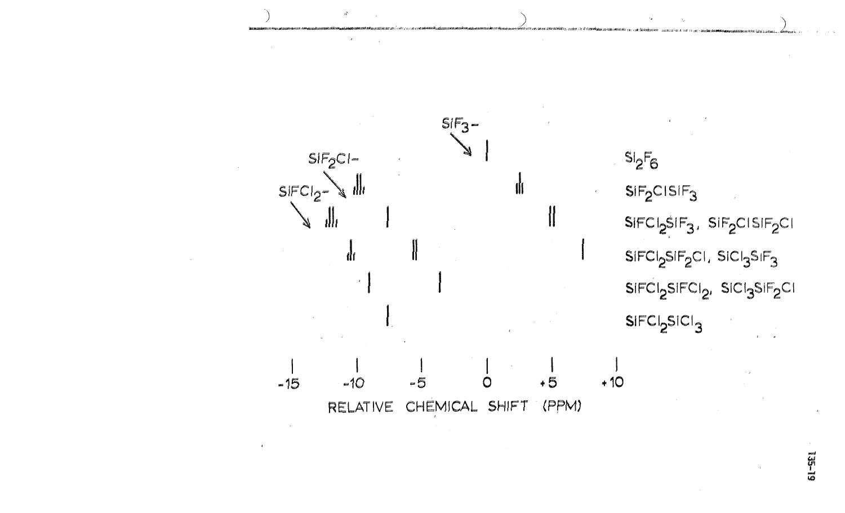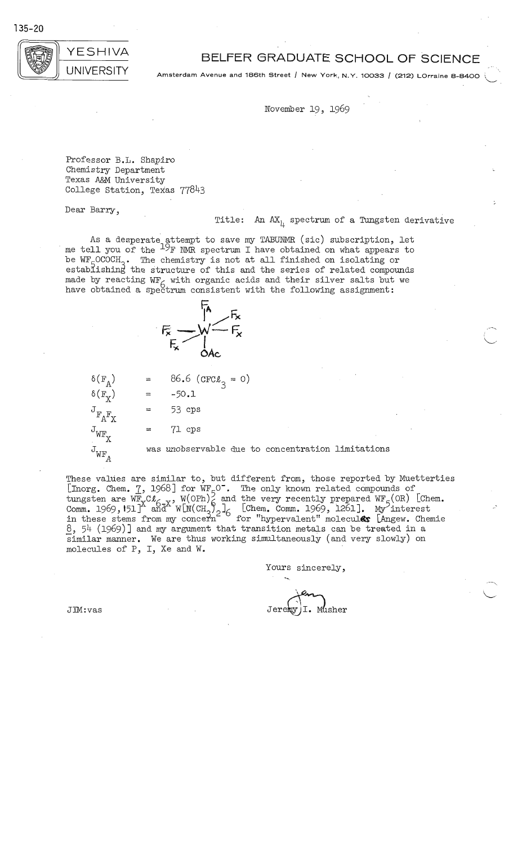

# BELFER GRADUATE SCHOOL OF SCIENCE

 $\smile$  .

i  $\smile$ 

UNIVERSITY **Amsterdam Avenue and 186th Street** / **New York, N. Y. 10033** / **·c212) LOrraine 8-8400** \

November l9, l969

Professor B.L. Shapiro Chemistry Department Texas A&M University College Station, Texas 77843

Dear Barry,

Title: An AX<sub>1</sub>, spectrum of a Tungsten derivative

As a desperate attempt to save my TABUNMR (sic) subscription, let me tell you of the  $19F$  NMR spectrum I have obtained on what appears to be  $WF_cOCOCH_$ . The chemistry is not at all finished on isolating or establishing the structure of this and the series of related compounds made by reacting  $WF_6$  with organic acids and their silver salts but we have obtained a spectrum consistent with the following assignment:



 $= 86.6 \text{ (CFCL}_3 = 0)$  $\delta(\textbf{F}_{\rm v})$  $= -50.1$  $=$  53 cps  $\mathbf{J}_{\mathbf{F_{A}}\mathbf{F_{Y}}}$ == 71 cps  ${\rm J_{WF}}_{\rm X}$  $\mathbf{J}_{\mathbf{WF}_{\text{A}}}$ 

was unobservable due to concentration limitations

These values are similar to, but different from, those reported by Muetterties [Inorg. Chem.  $7, 1968$ ] for WF<sub>-</sub>0<sup>-</sup>. The only known related compounds of tungsten are  $\overline{WF}$  $C\ell_{G}$  X,  $W(OPh)$  and the very recently prepared  $WF$ <sub>5</sub>(OR) [Chem. Communication]  $W^5$  interest. Comm. 1969, **151**<sup>1</sup> and W[N(CH<sub>3</sub>)<sub>2</sub>]<sub>6</sub> [Chem. Comm. 1969, 1261]. My interest in these stems from my concern<sup>26</sup> for "hypervalent" molecul**es** [Angew. Chemie 8, 54 (l969)] and my argument that transition metals can be treated in a similar manner. We are thus working simultaneously (and very slowly) on molecules of P, I, Xe and W.

Yours sincerely,

JIM:vas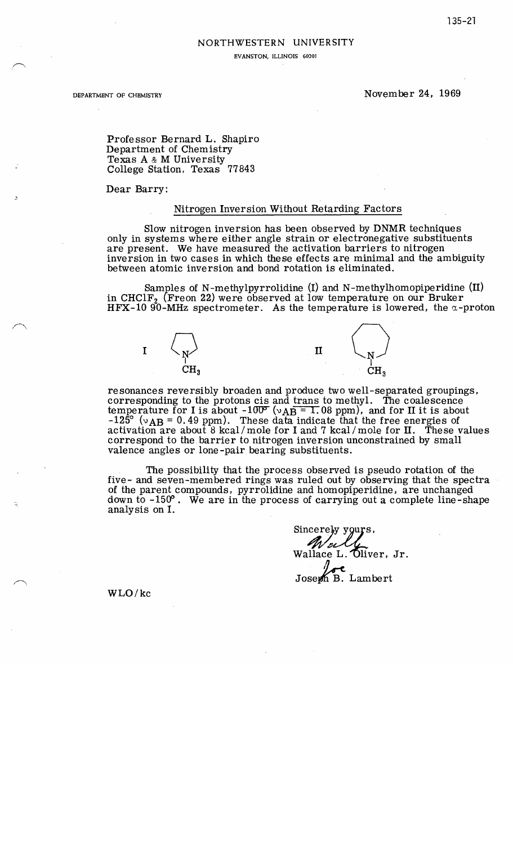#### NORTHWESTERN UNIVERSITY

EVANSTON, ILLINOIS 60201

DEPARTMENT OF CHEMISTRY **began that the CHEMISTRY began that the November 24, 1969** 

Professor Bernard L. Shapiro Department of Chemistry Texas A & M University College Station, Texas 77843

Dear Barry:

#### Nitrogen Inversion Without Retarding Factors

Slow nitrogen inversion has been observed by DNMR techniques only in systems where either angle strain or electronegative substituents are present. We have measured the activation barriers to nitrogen inversion in two cases in which these effects are minimal and the ambiguity between atomic inversion and bond rotation is eliminated.

Samples of N-methylpyrrolidine (I) and N-methylhomopiperidine (II) in CHClF<sub>2</sub> (Freon 22) were observed at low temperature on our Bruker HFX-10 90-MHz spectrometer. As the temperature is lowered, the  $\alpha$ -proton



resonances reversibly broaden and produce two well-separated groupings, corresponding to the protons cis and trans to methyl. The coalescence temperature for I is about  $-100^{\circ}$  ( $\sqrt{AB} = 1.08$  ppm), and for II it is about  $-125^{\circ}$  ( $v_{AB}$  = 0.49 ppm). These data indicate that the free energies of activation are about  $8$  kcal/mole for I and 7 kcal/mole for II. These values correspond to the barrier to nitrogen inversion unconstrained by small valence angles or lone-pair bearing substituents.

The possibility that the process observed is pseudo rotation of the five- and seven-membered rings was ruled out by observing that the spectra of the parent compounds, pyrrolidine and homopiperidine, are unchanged down to  $-150^\circ$ . We are in the process of carrying out a complete line-shape analysis on I.

Sincerely yours,  $W$  *u* Joseph B. Lambert

**WLO/kc**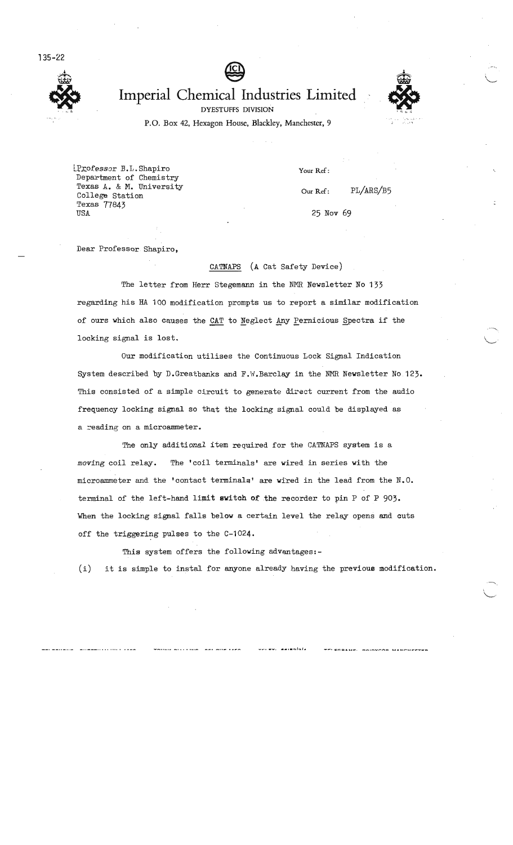135-22





# **Imperial Chemical Industries Limited**

DYESTUFFS DIVISION

L

P.O. Box 42, Hexagon House, Blackley, Manchester, 9

Professor B.L.Shapiro Department of Chemistry Texas A. & M. University College Station Texas 77843<br>USA

Your Ref:

Our Ref: PL/ARS/B5

25 Nov 69

Dear Professor Shapiro,

CATNAPS (A Cat Safety Device)

The letter from Herr Stegemann in the NMR Newsletter No 133 regarding his HA 100 modification prompts us to report a similar modification of ours which also causes the CAT to Neglect Any Pernicious Spectra if the locking signal is lost.

Our modification utilises the Continuous Lock Signal Indication System described by D.Greatbanks and F.W.Barclay in the NMR Newsletter No .123. This consisted of a simple circuit to generate direct current from the audio frequency locking signal so that the locking signal could be displayed as a reading on a microammeter.

The only additional item required for the CATNAPS system is a moving coil relay. The 'coil terminals' are wired in series with the microamrneter and the 'contact terminals' are **wired** in the lead from the N.O. terminal of the left-hand limit switch of the recorder to pin P of P 903. When the locking signal falls below a certain level the relay opens **and** cuts off the triggering pulses to the C-1024.

This system offers the following advantages:- (i) it is simple to instal for anyone already having the previous modification.

 $\overline{\phantom{a}}$ .  $\overline{\phantom{a}}$ .  $\overline{\phantom{a}}$ .  $\overline{\phantom{a}}$ .  $\overline{\phantom{a}}$ .  $\overline{\phantom{a}}$ .  $\overline{\phantom{a}}$ .  $\overline{\phantom{a}}$ .  $\overline{\phantom{a}}$ .  $\overline{\phantom{a}}$ .  $\overline{\phantom{a}}$ .  $\overline{\phantom{a}}$ .  $\overline{\phantom{a}}$ .  $\overline{\phantom{a}}$ .  $\overline{\phantom{a}}$ .  $\overline{\phantom{a}}$ .  $\overline{\phantom{a}}$ .

" ECOLUE, RAINVAR MINAUFA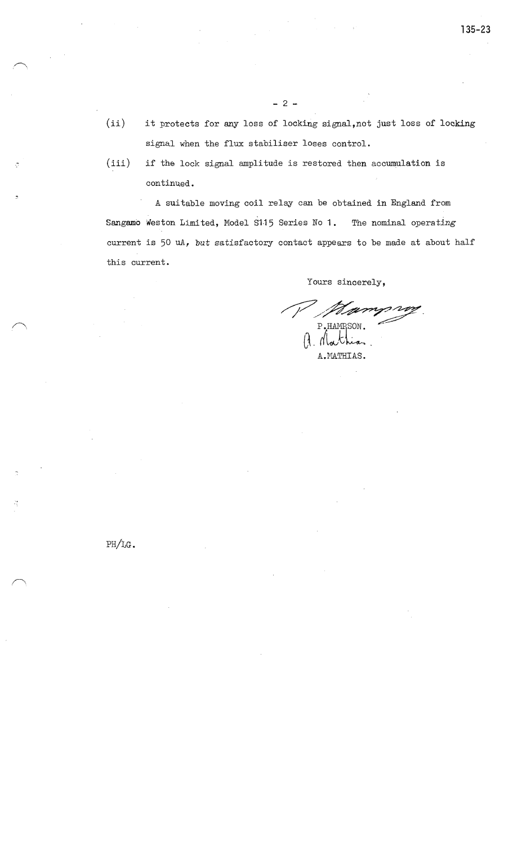- $2 -$
- (ii) it protects for any loss of locking signal,not just loss of locking signal when the flux stabiliser loses control.
- (iii) if the lock signal amplitude is restored then accumulation is continued.

A suitable moving coil relay can be obtained in England from Sangamo Weston Limited, Model S115 Series No 1. The nominal operating current is 50 uA, but satisfactory contact appears to be made at about half this current.

Yours sincerely,

Many ny P. HAMPSON.<br>a Marthian

A.MATHIAS.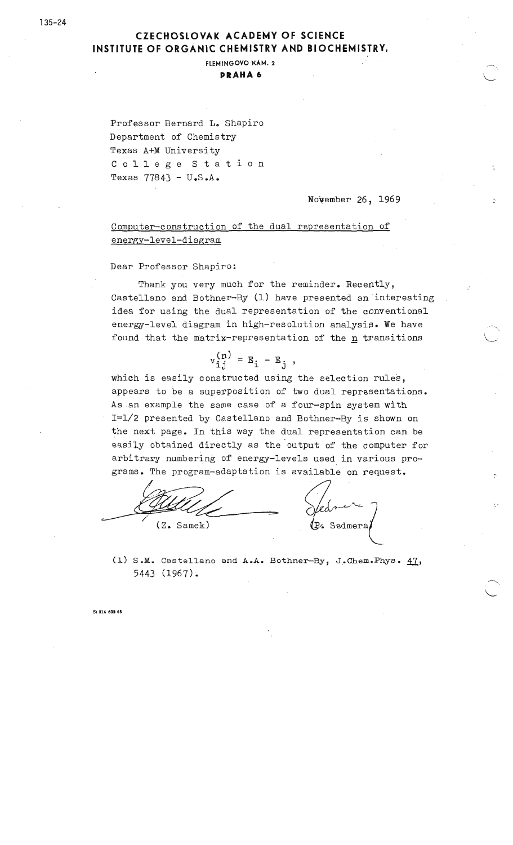## **CZECHOSLOVAK ACADEMY OF SCIENCE INSTITUTE OF ORGANIC CHEMISTRY AND BIOCHEMISTRY,**

**FLEMINGOVO NÁM. 2 PRAHA 6** 

Professor Bernard L. Shapiro Department of Chemistry Texas A+M University C o 1 1 e g e S t a t i o n Texas  $77843 - U.S.A.$ 

November 26, 1969

L -

# Computer-construction of the dual representation of energy-level-diagram

#### Dear Professor Shapiro:

Thank you very much for the reminder. Recently, Castellano and Bothner-By (1) have presented an interesting idea for using the dual representation of the conventional energy-level diagram in high-resolution analysis. We have found that the matrix-representation of the n transitions

$$
v_{ij}^{(n)} = E_i - E_j ,
$$

which is easily constructed using the selection rules, appears to be a superposition of two dual representations. As an example the same case of a four-spin system with I=l/2 presented by Castellano and Bothner-By is shown on the next page. In this way the dual representation can be easily obtained directly as the output of the computer for arbitrary numbering of energy-levels used in various programs. The program-adaptation is available on request.

(Z. Samek) Oldswind (Z. Samek)

(1) S.M. Castellano and A.A. Bothner-By, J.Chem.Phys. 47, 5443 (1967) <sup>~</sup>

St 214 632 65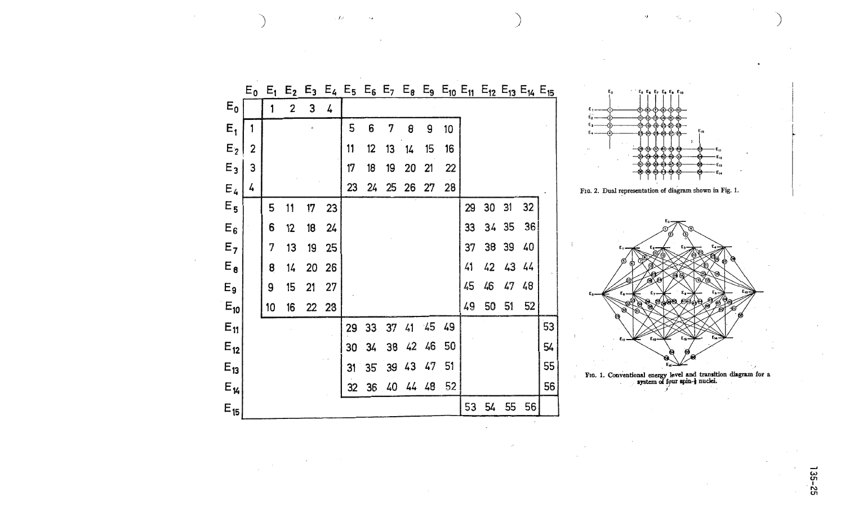|                         |                |    |                  |    |    |    |    |    |    |    | $E_0$ $E_1$ $E_2$ $E_3$ $E_4$ $E_5$ $E_6$ $E_7$ $E_8$ $E_9$ $E_{10}$ $E_{11}$ $E_{12}$ $E_{13}$ $E_{14}$ $E_{15}$ |    |    |       |    |    |
|-------------------------|----------------|----|------------------|----|----|----|----|----|----|----|-------------------------------------------------------------------------------------------------------------------|----|----|-------|----|----|
| $\mathsf{E}_\mathbf{0}$ |                | 1  | $\boldsymbol{2}$ | 3  | 4  |    |    |    |    |    |                                                                                                                   |    |    |       |    |    |
| $E_1$                   | 1              |    |                  | ö  |    | 5  | 6  | 7  | 8  | 9  | 10                                                                                                                |    |    |       |    |    |
| $E_2$                   | $\overline{2}$ |    |                  |    |    | 11 | 12 | 13 | 14 | 15 | 16                                                                                                                |    |    |       |    |    |
| $E_3$                   | 3              |    |                  |    |    | 17 | 18 | 19 | 20 | 21 | 22                                                                                                                |    |    |       |    |    |
| $E_4$                   | 4              |    |                  |    |    | 23 | 24 | 25 | 26 | 27 | 28                                                                                                                |    |    |       |    |    |
| $E_{5}$                 |                | 5  | 11               | 17 | 23 |    |    |    |    |    |                                                                                                                   | 29 | 30 | 31    | 32 |    |
| $E_6$                   |                | 6  | 12               | 18 | 24 |    |    |    |    |    |                                                                                                                   | 33 |    | 34 35 | 36 |    |
| E <sub>7</sub>          |                | 7  | 13               | 19 | 25 |    |    |    |    |    |                                                                                                                   | 37 | 38 | 39    | 40 |    |
| $E_{\bf 8}$             |                | 8  | 14               | 20 | 26 |    |    |    |    |    |                                                                                                                   | 41 | 42 | 43    | 44 |    |
| $E_9$                   |                | 9  | 15               | 21 | 27 |    |    |    |    |    |                                                                                                                   | 45 | 46 | 47    | 48 |    |
| $E_{10}$                |                | 10 | 16               | 22 | 23 |    |    |    |    |    |                                                                                                                   | 49 | 50 | 51    | 52 |    |
| $E_{11}$                |                |    |                  |    |    | 29 | 33 | 37 | 41 | 45 | 49                                                                                                                |    |    |       |    | 53 |
| $E_{12}$                |                |    |                  |    |    | 30 | 34 | 38 | 42 | 46 | 50                                                                                                                |    |    |       |    | 54 |
| $E_{13}$                |                |    |                  |    |    | 31 | 35 | 39 | 43 | 47 | 51                                                                                                                |    |    |       |    | 55 |
| $E_{\mathcal{H}}$       |                |    |                  |    |    | 32 | 36 | 40 | 44 | 48 | 52                                                                                                                |    |    |       |    | 56 |
| $\mathsf{E}_{15}$       |                |    |                  |    |    |    |    |    |    |    |                                                                                                                   | 53 | 54 | 55    | 56 |    |

 $\prime$ 





FIG. 1. Conventional energy level and transition diagram for a system of four spin- $\frac{1}{2}$  nuclei.

135-25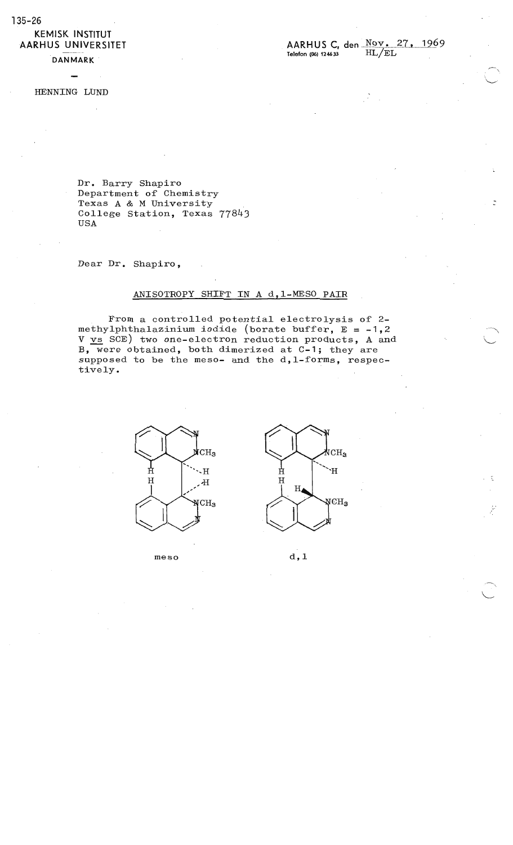$135 - 26$ 

# **KEMISK INSTITUT AARHUS UNIVERSITET DANMARK**

AARHUS C, den Nov. 27, 1969  $HL/EL$ Telefon (06) 124633

#### HENNING LUND

Dr. Barry Shapiro Department of Chemistry Texas A & M University College Station, Texas 77843 **USA** 

Dear Dr. Shapiro,

#### ANISOTROPY SHIFT IN A d, 1-MESO PAIR

From a controlled potential electrolysis of 2methylphthalazinium iodide (borate buffer,  $E = -1, 2$ V vs SCE) two one-electron reduction products, A and  $B$ , were obtained, both dimerized at  $C-1$ ; they are supposed to be the meso- and the d, 1-forms, respectively.



 $meso$ 

 $d,1$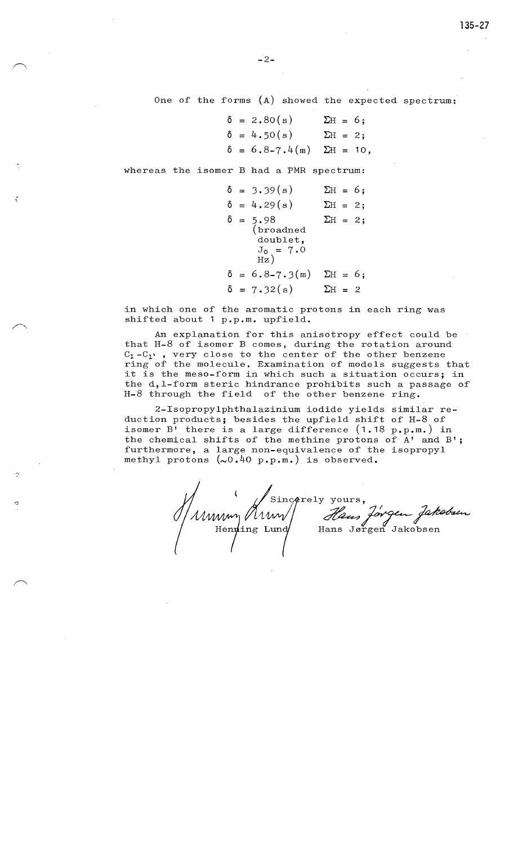-2-

One of the forms (A) showed the expected spectrum:

 $\delta = 2.80(s)$   $\Sigma H = 6$ ; '  $\delta = 4.50(s)$   $\Sigma$ H = 2;  $\delta = 6.8-7.4(m)$   $\Sigma H = 10$ ,

whereas the isomer B had a PMR spectrum:

-'

-

*Ci* 

 $\delta = 3.39(s)$   $\Sigma H = 6$ ;<br>  $\delta = 4.29(s)$   $\Sigma H = 2$ ;  $\delta = 4.29(s)$   $\Sigma H = 2;$ <br>  $\delta = 5.98$   $\Sigma H = 2;$  $\delta = 5.98$ <br>(broadned doublet,  $J_0 = 7.0$  $_{\rm Hz}$ )  $\delta = 6.8 - 7.3(m)$   $\Sigma H = 6$ ;  $\delta = 7.32(s)$   $\Sigma H = 2$ 

in which one of the aromatic protons in each ring was shifted about 1 p.p.m. upfield.

An explanation for this anisotropy effect could be that H-8 of isomer B comes, during the rotation around  $C_1 - C_1$ , very close to the center of the other benzene ring of the molecule. Examination of models suggests that it is the meso-form in which such a situation occurs; in the d,l-form steric hindrance prohibits such a passage of H-8 through the field of the other benzene ring.

2-Isopropylphthalazinium iodide yields similar reduction products; besides the upfield shift of H-8 of isomer B' there is a large difference (1.18 p.p.m.) in the chemical shifts of the methine protons of A' and B'; furthermore, a large non-equivalence of the isopropyl methyl protons  $(\sim 0.40 \text{ p.p.m.})$  is observed.

rely yours, y yours,<br>*Hans Jorgen Jakobsen*<br>Hans Jørgen Jakobsen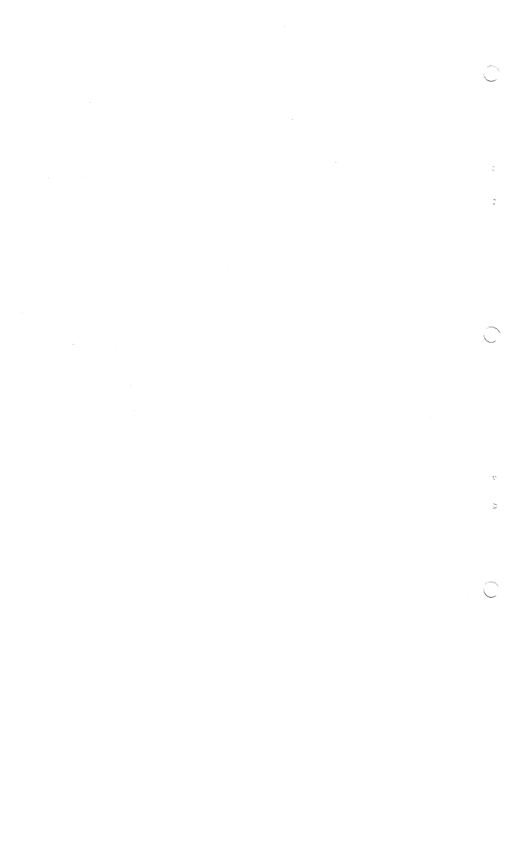$\label{eq:2.1} \frac{1}{\sqrt{2\pi}}\sum_{i=1}^n\frac{1}{\sqrt{2\pi}}\sum_{i=1}^n\frac{1}{\sqrt{2\pi}}\sum_{i=1}^n\frac{1}{\sqrt{2\pi}}\sum_{i=1}^n\frac{1}{\sqrt{2\pi}}\sum_{i=1}^n\frac{1}{\sqrt{2\pi}}\sum_{i=1}^n\frac{1}{\sqrt{2\pi}}\sum_{i=1}^n\frac{1}{\sqrt{2\pi}}\sum_{i=1}^n\frac{1}{\sqrt{2\pi}}\sum_{i=1}^n\frac{1}{\sqrt{2\pi}}\sum_{i=1}^n\$ 

 $\label{eq:2.1} \frac{1}{\sqrt{2\pi}}\int_{\mathbb{R}^3}\frac{d\mu}{\sqrt{2\pi}}\left(\frac{d\mu}{\mu}\right)^2\frac{d\mu}{\sqrt{2\pi}}\int_{\mathbb{R}^3}\frac{d\mu}{\sqrt{2\pi}}\frac{d\mu}{\sqrt{2\pi}}\frac{d\mu}{\sqrt{2\pi}}\frac{d\mu}{\sqrt{2\pi}}\frac{d\mu}{\sqrt{2\pi}}\frac{d\mu}{\sqrt{2\pi}}\frac{d\mu}{\sqrt{2\pi}}\frac{d\mu}{\sqrt{2\pi}}\frac{d\mu}{\sqrt{2\pi}}\frac{d\mu}{\$ 

 $\label{eq:2.1} \frac{1}{\sqrt{2}}\int_{\mathbb{R}^3}\frac{1}{\sqrt{2}}\left(\frac{1}{\sqrt{2}}\right)^2\frac{1}{\sqrt{2}}\left(\frac{1}{\sqrt{2}}\right)^2\frac{1}{\sqrt{2}}\left(\frac{1}{\sqrt{2}}\right)^2\frac{1}{\sqrt{2}}\left(\frac{1}{\sqrt{2}}\right)^2\frac{1}{\sqrt{2}}\left(\frac{1}{\sqrt{2}}\right)^2\frac{1}{\sqrt{2}}\frac{1}{\sqrt{2}}\frac{1}{\sqrt{2}}\frac{1}{\sqrt{2}}\frac{1}{\sqrt{2}}\frac{1}{\sqrt{2}}$ 

 $\label{eq:2.1} \frac{1}{\sqrt{2}}\int_{\mathbb{R}^3}\frac{1}{\sqrt{2}}\left(\frac{1}{\sqrt{2}}\int_{\mathbb{R}^3}\frac{1}{\sqrt{2}}\left(\frac{1}{\sqrt{2}}\int_{\mathbb{R}^3}\frac{1}{\sqrt{2}}\left(\frac{1}{\sqrt{2}}\int_{\mathbb{R}^3}\frac{1}{\sqrt{2}}\right)\right)\frac{1}{\sqrt{2}}\right)=\frac{1}{2}\int_{\mathbb{R}^3}\frac{1}{\sqrt{2}}\int_{\mathbb{R}^3}\frac{1}{\sqrt{2}}\frac{1}{\sqrt{2}}\int_{\mathbb$  $\frac{1}{\lambda_{\rm c}}$  .

 $\vec{Q}$  $\gtrsim$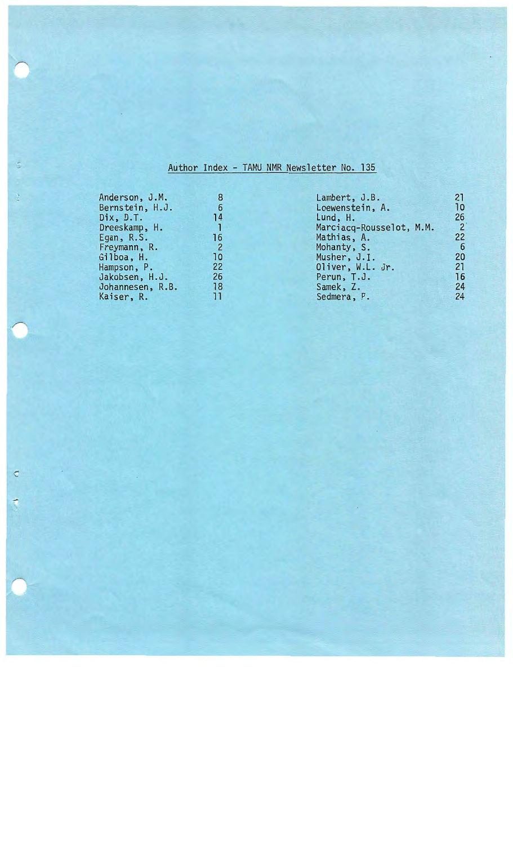## Author Index - TAMU NMR Newsletter No. 135

45

 $\frac{1}{2}$ 

| Anderson, J.M.   | 8  | Lambert, J.B.            |                |
|------------------|----|--------------------------|----------------|
| Bernstein, H.J.  | 6  | Loewenstein, A.          | 10             |
| Dix, D.T.        | 14 | Lund, H.                 | 26             |
| Dreeskamp, H.    |    | Marciacq-Rousselot, M.M. | $2^{^{\circ}}$ |
| Egan, R.S.       | 16 | Mathias, A.              | 22             |
| Freymann, R.     |    | Mohanty, S.              | 6              |
| Gilboa, H.       | 10 | Musher, J.I.             | 20             |
| Hampson, P.      | 22 | Oliver, W.L. Jr.         | 21             |
| Jakobsen, H.J.   | 26 | Perun, T.J.              | 16             |
| Johannesen, R.B. | 18 | Samek, Z.                | 24             |
| Kaiser, R.       | 11 | Sedmera, P.              | 24             |